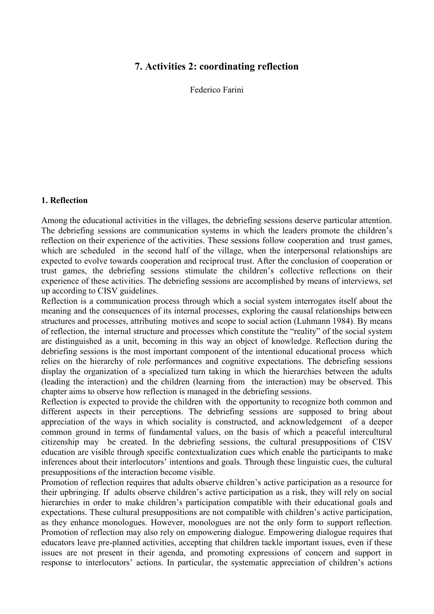# **7. Activities 2: coordinating reflection**

Federico Farini

#### **1. Reflection**

Among the educational activities in the villages, the debriefing sessions deserve particular attention. The debriefing sessions are communication systems in which the leaders promote the children's reflection on their experience of the activities. These sessions follow cooperation and trust games, which are scheduled in the second half of the village, when the interpersonal relationships are expected to evolve towards cooperation and reciprocal trust. After the conclusion of cooperation or trust games, the debriefing sessions stimulate the children's collective reflections on their experience of these activities. The debriefing sessions are accomplished by means of interviews, set up according to CISV guidelines.

Reflection is a communication process through which a social system interrogates itself about the meaning and the consequences of its internal processes, exploring the causal relationships between structures and processes, attributing motives and scope to social action (Luhmann 1984). By means of reflection, the internal structure and processes which constitute the "reality" of the social system are distinguished as a unit, becoming in this way an object of knowledge. Reflection during the debriefing sessions is the most important component of the intentional educational process which relies on the hierarchy of role performances and cognitive expectations. The debriefing sessions display the organization of a specialized turn taking in which the hierarchies between the adults (leading the interaction) and the children (learning from the interaction) may be observed. This chapter aims to observe how reflection is managed in the debriefing sessions.

Reflection is expected to provide the children with the opportunity to recognize both common and different aspects in their perceptions. The debriefing sessions are supposed to bring about appreciation of the ways in which sociality is constructed, and acknowledgement of a deeper common ground in terms of fundamental values, on the basis of which a peaceful intercultural citizenship may be created. In the debriefing sessions, the cultural presuppositions of CISV education are visible through specific contextualization cues which enable the participants to make inferences about their interlocutors' intentions and goals. Through these linguistic cues, the cultural presuppositions of the interaction become visible.

Promotion of reflection requires that adults observe children's active participation as a resource for their upbringing. If adults observe children's active participation as a risk, they will rely on social hierarchies in order to make children's participation compatible with their educational goals and expectations. These cultural presuppositions are not compatible with children's active participation, as they enhance monologues. However, monologues are not the only form to support reflection. Promotion of reflection may also rely on empowering dialogue. Empowering dialogue requires that educators leave pre-planned activities, accepting that children tackle important issues, even if these issues are not present in their agenda, and promoting expressions of concern and support in response to interlocutors' actions. In particular, the systematic appreciation of children's actions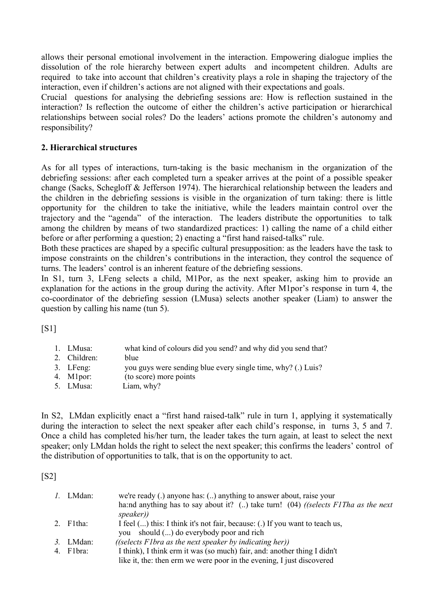allows their personal emotional involvement in the interaction. Empowering dialogue implies the dissolution of the role hierarchy between expert adults and incompetent children. Adults are required to take into account that children's creativity plays a role in shaping the trajectory of the interaction, even if children's actions are not aligned with their expectations and goals.

Crucial questions for analysing the debriefing sessions are: How is reflection sustained in the interaction? Is reflection the outcome of either the children's active participation or hierarchical relationships between social roles? Do the leaders' actions promote the children's autonomy and responsibility?

## **2. Hierarchical structures**

As for all types of interactions, turn-taking is the basic mechanism in the organization of the debriefing sessions: after each completed turn a speaker arrives at the point of a possible speaker change (Sacks, Schegloff & Jefferson 1974). The hierarchical relationship between the leaders and the children in the debriefing sessions is visible in the organization of turn taking: there is little opportunity for the children to take the initiative, while the leaders maintain control over the trajectory and the "agenda" of the interaction. The leaders distribute the opportunities to talk among the children by means of two standardized practices: 1) calling the name of a child either before or after performing a question; 2) enacting a "first hand raised-talks" rule.

Both these practices are shaped by a specific cultural presupposition: as the leaders have the task to impose constraints on the children's contributions in the interaction, they control the sequence of turns. The leaders' control is an inherent feature of the debriefing sessions.

In S1, turn 3, LFeng selects a child, M1Por, as the next speaker, asking him to provide an explanation for the actions in the group during the activity. After M1por's response in turn 4, the co-coordinator of the debriefing session (LMusa) selects another speaker (Liam) to answer the question by calling his name (tun 5).

[S1]

| 1. LMusa:    | what kind of colours did you send? and why did you send that? |
|--------------|---------------------------------------------------------------|
| 2. Children: | blue                                                          |
| 3. LFeng:    | you guys were sending blue every single time, why? (.) Luis?  |
| 4. Mlpor:    | (to score) more points                                        |
| 5. LMusa:    | Liam, why?                                                    |
|              |                                                               |

In S2, LMdan explicitly enact a "first hand raised-talk" rule in turn 1, applying it systematically during the interaction to select the next speaker after each child's response, in turns 3, 5 and 7. Once a child has completed his/her turn, the leader takes the turn again, at least to select the next speaker; only LMdan holds the right to select the next speaker; this confirms the leaders' control of the distribution of opportunities to talk, that is on the opportunity to act.

[S2]

| 1. LMdan: | we're ready $(.)$ anyone has: $(.)$ anything to answer about, raise your             |
|-----------|--------------------------------------------------------------------------------------|
|           | haind anything has to say about it? () take turn! $(04)$ ((selects FITha as the next |
|           | speaker))                                                                            |
| 2. F1tha: | I feel () this: I think it's not fair, because: (.) If you want to teach us,         |
|           | you should () do everybody poor and rich                                             |
| 3. LMdan: | $((selects \; Flbra \; as \; the \; next \; speaker \; by \; indicating \; her))$    |
| 4. F1bra: | I think), I think erm it was (so much) fair, and: another thing I didn't             |
|           | like it, the: then erm we were poor in the evening, I just discovered                |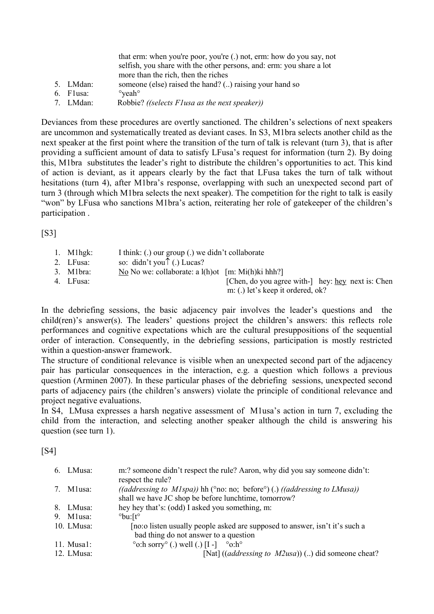|           | that erm: when you're poor, you're (.) not, erm: how do you say, not |
|-----------|----------------------------------------------------------------------|
|           | selfish, you share with the other persons, and: erm: you share a lot |
|           | more than the rich, then the riches                                  |
| 5. LMdan: | someone (else) raised the hand? () raising your hand so              |
| 6. Flusa: | $\circ$ <sub>veah</sub>                                              |
| 7. LMdan: | Robbie? ((selects Flusa as the next speaker))                        |

Deviances from these procedures are overtly sanctioned. The children's selections of next speakers are uncommon and systematically treated as deviant cases. In S3, M1bra selects another child as the next speaker at the first point where the transition of the turn of talk is relevant (turn 3), that is after providing a sufficient amount of data to satisfy LFusa's request for information (turn 2). By doing this, M1bra substitutes the leader's right to distribute the children's opportunities to act. This kind of action is deviant, as it appears clearly by the fact that LFusa takes the turn of talk without hesitations (turn 4), after M1bra's response, overlapping with such an unexpected second part of turn 3 (through which M1bra selects the next speaker). The competition for the right to talk is easily "won" by LFusa who sanctions M1bra's action, reiterating her role of gatekeeper of the children's participation .

[S3]

| 1. $M1hgk$ : | I think: (.) our group (.) we didn't collaborate       |                                                                                        |
|--------------|--------------------------------------------------------|----------------------------------------------------------------------------------------|
| 2. LFusa:    | so: $\text{diam}^t$ you $\uparrow$ (.) Lucas?          |                                                                                        |
| 3. M1bra:    | No No we: collaborate: a $l(h)$ ot $[m: Mi(h)$ ki hhh? |                                                                                        |
| 4. LFusa:    |                                                        | [Chen, do you agree with-] hey: hey next is: Chen<br>m: (.) let's keep it ordered, ok? |

In the debriefing sessions, the basic adjacency pair involves the leader's questions and the child(ren)'s answer(s). The leaders' questions project the children's answers: this reflects role performances and cognitive expectations which are the cultural presuppositions of the sequential order of interaction. Consequently, in the debriefing sessions, participation is mostly restricted within a question-answer framework.

The structure of conditional relevance is visible when an unexpected second part of the adjacency pair has particular consequences in the interaction, e.g. a question which follows a previous question (Arminen 2007). In these particular phases of the debriefing sessions, unexpected second parts of adjacency pairs (the children's answers) violate the principle of conditional relevance and project negative evaluations.

In S4, LMusa expresses a harsh negative assessment of M1usa's action in turn 7, excluding the child from the interaction, and selecting another speaker although the child is answering his question (see turn 1).

[S4]

| 6. LMusa:    | m:? someone didn't respect the rule? Aaron, why did you say someone didn't:                   |
|--------------|-----------------------------------------------------------------------------------------------|
|              | respect the rule?                                                                             |
| 7. Mlusa:    | ((addressing to MIspa)) hh ( $\degree$ no: no; before $\degree$ ) (.) ((addressing to LMusa)) |
|              | shall we have JC shop be before lunchtime, tomorrow?                                          |
| 8. LMusa:    | hey hey that's: (odd) I asked you something, m:                                               |
| 9. Mlusa:    | $^{\circ}$ bu: $[t^{\circ}]$                                                                  |
| 10. LMusa:   | [no:o listen usually people asked are supposed to answer, isn't it's such a                   |
|              | bad thing do not answer to a question                                                         |
| $11.$ Musal: | $\degree$ o:h sorry $\degree$ (.) well (.) [I -] $\degree$ o:h $\degree$                      |
| 12. LMusa:   | [Nat] ((addressing to M2usa)) () did someone cheat?                                           |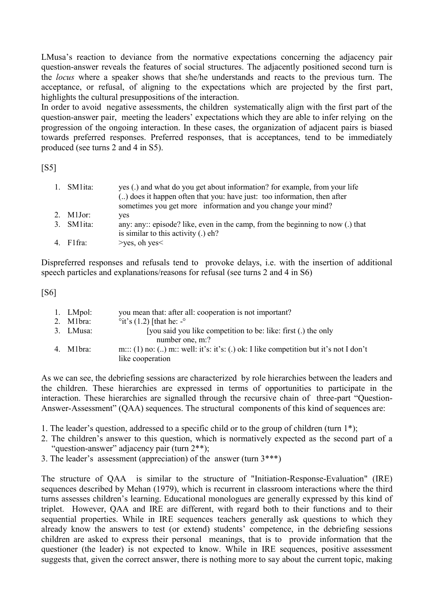LMusa's reaction to deviance from the normative expectations concerning the adjacency pair question-answer reveals the features of social structures. The adjacently positioned second turn is the *locus* where a speaker shows that she/he understands and reacts to the previous turn. The acceptance, or refusal, of aligning to the expectations which are projected by the first part, highlights the cultural presuppositions of the interaction.

In order to avoid negative assessments, the children systematically align with the first part of the question-answer pair, meeting the leaders' expectations which they are able to infer relying on the progression of the ongoing interaction. In these cases, the organization of adjacent pairs is biased towards preferred responses. Preferred responses, that is acceptances, tend to be immediately produced (see turns 2 and 4 in S5).

[S5]

| 1. SM1 ita: | yes (.) and what do you get about information? for example, from your life<br>() does it happen often that you: have just: too information, then after<br>sometimes you get more information and you change your mind? |
|-------------|------------------------------------------------------------------------------------------------------------------------------------------------------------------------------------------------------------------------|
| 2. M1Jor:   | ves                                                                                                                                                                                                                    |
| 3. SM1ita:  | any: any: episode? like, even in the camp, from the beginning to now (.) that<br>is similar to this activity $(.)$ eh?                                                                                                 |
| 4. F1fra:   | $>$ yes, oh yes $<$                                                                                                                                                                                                    |

Dispreferred responses and refusals tend to provoke delays, i.e. with the insertion of additional speech particles and explanations/reasons for refusal (see turns 2 and 4 in S6)

[S6]

| 1. LMpol: | you mean that: after all: cooperation is not important?                                 |
|-----------|-----------------------------------------------------------------------------------------|
| 2. M1bra: | °it's $(1.2)$ [that he: -°                                                              |
| 3. LMusa: | [you said you like competition to be: like: first (.) the only                          |
|           | number one, m:?                                                                         |
| 4. M1bra: | $m::(1)$ no: () $m::$ well: it's: it's: (.) ok: I like competition but it's not I don't |
|           | like cooperation                                                                        |

As we can see, the debriefing sessions are characterized by role hierarchies between the leaders and the children. These hierarchies are expressed in terms of opportunities to participate in the interaction. These hierarchies are signalled through the recursive chain of three-part "Question-Answer-Assessment" (QAA) sequences. The structural components of this kind of sequences are:

- 1. The leader's question, addressed to a specific child or to the group of children (turn 1\*);
- 2. The children's answer to this question, which is normatively expected as the second part of a "question-answer" adjacency pair (turn  $2^{**}$ );
- 3. The leader's assessment (appreciation) of the answer (turn 3\*\*\*)

The structure of QAA is similar to the structure of "Initiation-Response-Evaluation" (IRE) sequences described by Mehan (1979), which is recurrent in classroom interactions where the third turns assesses children's learning. Educational monologues are generally expressed by this kind of triplet. However, QAA and IRE are different, with regard both to their functions and to their sequential properties. While in IRE sequences teachers generally ask questions to which they already know the answers to test (or extend) students' competence, in the debriefing sessions children are asked to express their personal meanings, that is to provide information that the questioner (the leader) is not expected to know. While in IRE sequences, positive assessment suggests that, given the correct answer, there is nothing more to say about the current topic, making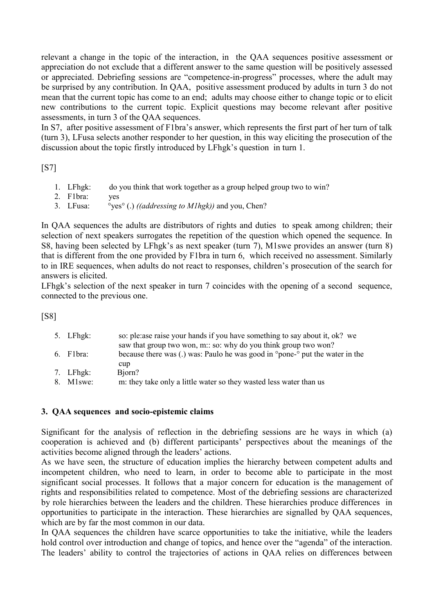relevant a change in the topic of the interaction, in the QAA sequences positive assessment or appreciation do not exclude that a different answer to the same question will be positively assessed or appreciated. Debriefing sessions are "competence-in-progress" processes, where the adult may be surprised by any contribution. In QAA, positive assessment produced by adults in turn 3 do not mean that the current topic has come to an end; adults may choose either to change topic or to elicit new contributions to the current topic. Explicit questions may become relevant after positive assessments, in turn 3 of the QAA sequences.

In S7, after positive assessment of F1bra's answer, which represents the first part of her turn of talk (turn 3), LFusa selects another responder to her question, in this way eliciting the prosecution of the discussion about the topic firstly introduced by LFhgk's question in turn 1.

[S7]

- 1. LFhgk: do you think that work together as a group helped group two to win?
- 2. F1bra: yes
- 3. LFusa: °yes° (.) *((addressing to M1hgk))* and you, Chen?

In QAA sequences the adults are distributors of rights and duties to speak among children; their selection of next speakers surrogates the repetition of the question which opened the sequence. In S8, having been selected by LFhgk's as next speaker (turn 7), M1swe provides an answer (turn 8) that is different from the one provided by F1bra in turn 6, which received no assessment. Similarly to in IRE sequences, when adults do not react to responses, children's prosecution of the search for answers is elicited.

LFhgk's selection of the next speaker in turn 7 coincides with the opening of a second sequence, connected to the previous one.

[S8]

| 5. LFhgk: | so: ple: as eraise your hands if you have something to say about it, ok? we                      |
|-----------|--------------------------------------------------------------------------------------------------|
|           | saw that group two won, m:: so: why do you think group two won?                                  |
| 6. F1bra: | because there was (.) was: Paulo he was good in $^{\circ}$ pone- $^{\circ}$ put the water in the |
|           | cup                                                                                              |
| 7. LFhgk: | Biorn?                                                                                           |
| 8. M1swe: | m: they take only a little water so they wasted less water than us                               |

### **3. QAA sequences and socio-epistemic claims**

Significant for the analysis of reflection in the debriefing sessions are he ways in which (a) cooperation is achieved and (b) different participants' perspectives about the meanings of the activities become aligned through the leaders' actions.

As we have seen, the structure of education implies the hierarchy between competent adults and incompetent children, who need to learn, in order to become able to participate in the most significant social processes. It follows that a major concern for education is the management of rights and responsibilities related to competence. Most of the debriefing sessions are characterized by role hierarchies between the leaders and the children. These hierarchies produce differences in opportunities to participate in the interaction. These hierarchies are signalled by QAA sequences, which are by far the most common in our data.

In QAA sequences the children have scarce opportunities to take the initiative, while the leaders hold control over introduction and change of topics, and hence over the "agenda" of the interaction. The leaders' ability to control the trajectories of actions in QAA relies on differences between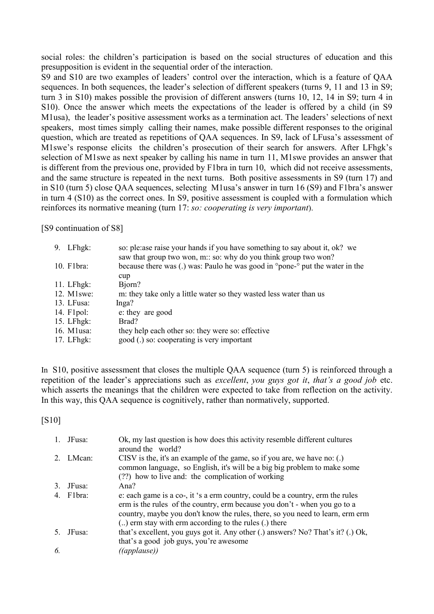social roles: the children's participation is based on the social structures of education and this presupposition is evident in the sequential order of the interaction.

S9 and S10 are two examples of leaders' control over the interaction, which is a feature of QAA sequences. In both sequences, the leader's selection of different speakers (turns 9, 11 and 13 in S9; turn 3 in S10) makes possible the provision of different answers (turns 10, 12, 14 in S9; turn 4 in S10). Once the answer which meets the expectations of the leader is offered by a child (in S9 M1usa), the leader's positive assessment works as a termination act. The leaders' selections of next speakers, most times simply calling their names, make possible different responses to the original question, which are treated as repetitions of QAA sequences. In S9, lack of LFusa's assessment of M1swe's response elicits the children's prosecution of their search for answers. After LFhgk's selection of M1swe as next speaker by calling his name in turn 11, M1swe provides an answer that is different from the previous one, provided by F1bra in turn 10, which did not receive assessments, and the same structure is repeated in the next turns. Both positive assessments in S9 (turn 17) and in S10 (turn 5) close QAA sequences, selecting M1usa's answer in turn 16 (S9) and F1bra's answer in turn 4 (S10) as the correct ones. In S9, positive assessment is coupled with a formulation which reinforces its normative meaning (turn 17: *so: cooperating is very important*).

[S9 continuation of S8]

| 9. LF $h$ gk:  | so: ple: as eraise your hands if you have something to say about it, ok? we<br>saw that group two won, m:: so: why do you think group two won? |
|----------------|------------------------------------------------------------------------------------------------------------------------------------------------|
| 10. F1bra:     | because there was (.) was: Paulo he was good in $^{\circ}$ pone- $^{\circ}$ put the water in the                                               |
|                | cup                                                                                                                                            |
| $11.$ LFhgk:   | Bjorn?                                                                                                                                         |
| 12. $M1$ swe:  | m: they take only a little water so they wasted less water than us                                                                             |
| 13. LFusa:     | Inga?                                                                                                                                          |
| 14. $F1pol:$   | e: they are good                                                                                                                               |
| 15. LF $h$ gk: | Brad?                                                                                                                                          |
| 16. M $l$ usa: | they help each other so: they were so: effective                                                                                               |
| 17. $LFhgk$ :  | good (.) so: cooperating is very important                                                                                                     |

In S10, positive assessment that closes the multiple QAA sequence (turn 5) is reinforced through a repetition of the leader's appreciations such as *excellent*, *you guys got it*, *that's a good job* etc. which asserts the meanings that the children were expected to take from reflection on the activity. In this way, this QAA sequence is cognitively, rather than normatively, supported.

[S10]

| 1. | JFusa:    | Ok, my last question is how does this activity resemble different cultures<br>around the world?                                                                                                                                                                                                      |
|----|-----------|------------------------------------------------------------------------------------------------------------------------------------------------------------------------------------------------------------------------------------------------------------------------------------------------------|
|    | 2. LMcan: | CISV is the, it's an example of the game, so if you are, we have no: (.)<br>common language, so English, it's will be a big big problem to make some<br>(??) how to live and: the complication of working                                                                                            |
| 3. | JFusa:    | Ana?                                                                                                                                                                                                                                                                                                 |
|    | 4. Flbra: | e: each game is a co-, it 's a erm country, could be a country, erm the rules<br>erm is the rules of the country, erm because you don't - when you go to a<br>country, maybe you don't know the rules, there, so you need to learn, erm erm<br>() erm stay with erm according to the rules (.) there |
|    | JFusa:    | that's excellent, you guys got it. Any other (.) answers? No? That's it? (.) Ok,<br>that's a good job guys, you're awesome                                                                                                                                                                           |
| 6. |           | ((applause))                                                                                                                                                                                                                                                                                         |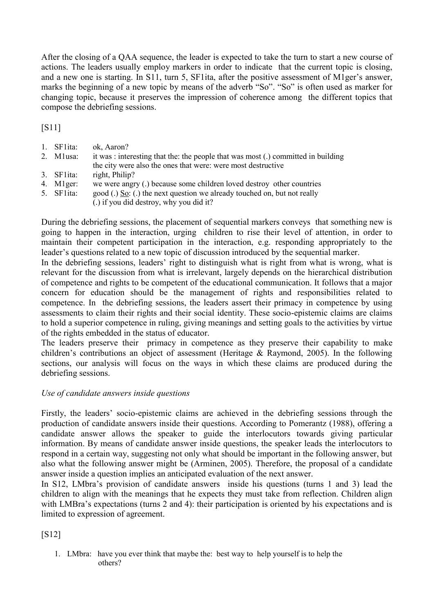After the closing of a QAA sequence, the leader is expected to take the turn to start a new course of actions. The leaders usually employ markers in order to indicate that the current topic is closing, and a new one is starting. In S11, turn 5, SF1ita, after the positive assessment of M1ger's answer, marks the beginning of a new topic by means of the adverb "So". "So" is often used as marker for changing topic, because it preserves the impression of coherence among the different topics that compose the debriefing sessions.

[S11]

1. SF1ita: ok, Aaron? 2. M1usa: it was : interesting that the: the people that was most (.) committed in building the city were also the ones that were: were most destructive 3. SF1ita: right, Philip?<br>4. M1ger: we were angr we were angry (.) because some children loved destroy other countries 5. SF1ita: good (.) So: (.) the next question we already touched on, but not really (.) if you did destroy, why you did it?

During the debriefing sessions, the placement of sequential markers conveys that something new is going to happen in the interaction, urging children to rise their level of attention, in order to maintain their competent participation in the interaction, e.g. responding appropriately to the leader's questions related to a new topic of discussion introduced by the sequential marker.

In the debriefing sessions, leaders' right to distinguish what is right from what is wrong, what is relevant for the discussion from what is irrelevant, largely depends on the hierarchical distribution of competence and rights to be competent of the educational communication. It follows that a major concern for education should be the management of rights and responsibilities related to competence. In the debriefing sessions, the leaders assert their primacy in competence by using assessments to claim their rights and their social identity. These socio-epistemic claims are claims to hold a superior competence in ruling, giving meanings and setting goals to the activities by virtue of the rights embedded in the status of educator.

The leaders preserve their primacy in competence as they preserve their capability to make children's contributions an object of assessment (Heritage & Raymond, 2005). In the following sections, our analysis will focus on the ways in which these claims are produced during the debriefing sessions.

# *Use of candidate answers inside questions*

Firstly, the leaders' socio-epistemic claims are achieved in the debriefing sessions through the production of candidate answers inside their questions. According to Pomerantz (1988), offering a candidate answer allows the speaker to guide the interlocutors towards giving particular information. By means of candidate answer inside questions, the speaker leads the interlocutors to respond in a certain way, suggesting not only what should be important in the following answer, but also what the following answer might be (Arminen, 2005). Therefore, the proposal of a candidate answer inside a question implies an anticipated evaluation of the next answer.

In S12, LMbra's provision of candidate answers inside his questions (turns 1 and 3) lead the children to align with the meanings that he expects they must take from reflection. Children align with LMBra's expectations (turns 2 and 4): their participation is oriented by his expectations and is limited to expression of agreement.

# [S12]

1. LMbra: have you ever think that maybe the: best way to help yourself is to help the others?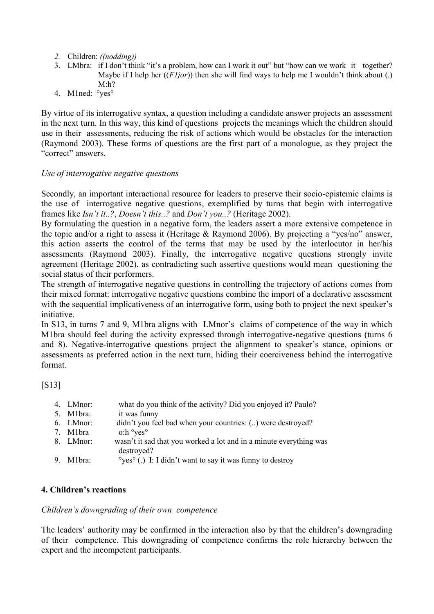- *2.* Children: *((nodding))*
- 3. LMbra: if I don't think "it's a problem, how can I work it out" but "how can we work it together? Maybe if I help her ((*F1jor*)) then she will find ways to help me I wouldn't think about (.) M:h?
- 4. M1ned: °yes°

By virtue of its interrogative syntax, a question including a candidate answer projects an assessment in the next turn. In this way, this kind of questions projects the meanings which the children should use in their assessments, reducing the risk of actions which would be obstacles for the interaction (Raymond 2003). These forms of questions are the first part of a monologue, as they project the "correct" answers.

## *Use of interrogative negative questions*

Secondly, an important interactional resource for leaders to preserve their socio-epistemic claims is the use of interrogative negative questions, exemplified by turns that begin with interrogative frames like *Isn't it..?*, *Doesn't this..?* and *Don't you..?* (Heritage 2002).

By formulating the question in a negative form, the leaders assert a more extensive competence in the topic and/or a right to assess it (Heritage & Raymond 2006). By projecting a "yes/no" answer, this action asserts the control of the terms that may be used by the interlocutor in her/his assessments (Raymond 2003). Finally, the interrogative negative questions strongly invite agreement (Heritage 2002), as contradicting such assertive questions would mean questioning the social status of their performers.

The strength of interrogative negative questions in controlling the trajectory of actions comes from their mixed format: interrogative negative questions combine the import of a declarative assessment with the sequential implicativeness of an interrogative form, using both to project the next speaker's initiative.

In S13, in turns 7 and 9, M1bra aligns with LMnor's claims of competence of the way in which M1bra should feel during the activity expressed through interrogative-negative questions (turns 6 and 8). Negative-interrogative questions project the alignment to speaker's stance, opinions or assessments as preferred action in the next turn, hiding their coerciveness behind the interrogative format.

[S13]

| 4. LMnor: | what do you think of the activity? Did you enjoyed it? Paulo?               |
|-----------|-----------------------------------------------------------------------------|
| 5. M1bra: | it was funny                                                                |
| 6. LMnor: | didn't you feel bad when your countries: () were destroyed?                 |
| 7. M1bra  | $\circ$ :h $\circ$ yes $\circ$                                              |
| 8. LMnor: | wasn't it sad that you worked a lot and in a minute everything was          |
|           | destroyed?                                                                  |
| 9. M1bra: | $\degree$ yes $\degree$ (.) I: I didn't want to say it was funny to destroy |

# **4. Children's reactions**

### *Children's downgrading of their own competence*

The leaders' authority may be confirmed in the interaction also by that the children's downgrading of their competence. This downgrading of competence confirms the role hierarchy between the expert and the incompetent participants.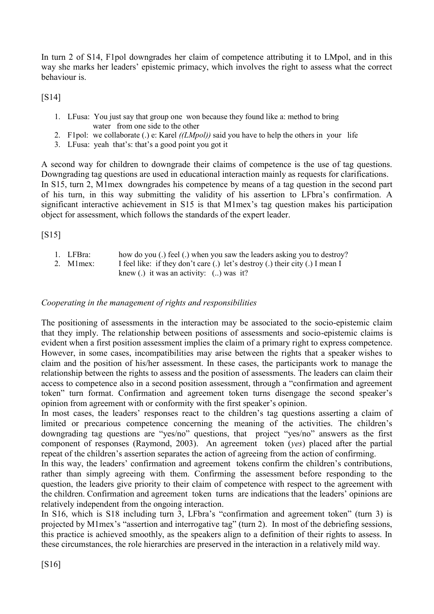In turn 2 of S14, F1pol downgrades her claim of competence attributing it to LMpol, and in this way she marks her leaders' epistemic primacy, which involves the right to assess what the correct behaviour is.

[S14]

- 1. LFusa: You just say that group one won because they found like a: method to bring water from one side to the other
- 2. F1pol: we collaborate (.) e: Karel *((LMpol))* said you have to help the others in your life
- 3. LFusa: yeah that's: that's a good point you got it

A second way for children to downgrade their claims of competence is the use of tag questions. Downgrading tag questions are used in educational interaction mainly as requests for clarifications. In S15, turn 2, M1mex downgrades his competence by means of a tag question in the second part of his turn, in this way submitting the validity of his assertion to LFbra's confirmation. A significant interactive achievement in S15 is that M1mex's tag question makes his participation object for assessment, which follows the standards of the expert leader.

[S15]

- 1. LFBra: how do you (.) feel (.) when you saw the leaders asking you to destroy?
- 2. M1mex: I feel like: if they don't care (.) let's destroy (.) their city (.) I mean I
	- knew (.) it was an activity: (..) was it?

## *Cooperating in the management of rights and responsibilities*

The positioning of assessments in the interaction may be associated to the socio-epistemic claim that they imply. The relationship between positions of assessments and socio-epistemic claims is evident when a first position assessment implies the claim of a primary right to express competence. However, in some cases, incompatibilities may arise between the rights that a speaker wishes to claim and the position of his/her assessment. In these cases, the participants work to manage the relationship between the rights to assess and the position of assessments. The leaders can claim their access to competence also in a second position assessment, through a "confirmation and agreement token" turn format. Confirmation and agreement token turns disengage the second speaker's opinion from agreement with or conformity with the first speaker's opinion.

In most cases, the leaders' responses react to the children's tag questions asserting a claim of limited or precarious competence concerning the meaning of the activities. The children's downgrading tag questions are "yes/no" questions, that project "yes/no" answers as the first component of responses (Raymond, 2003). An agreement token (*yes*) placed after the partial repeat of the children's assertion separates the action of agreeing from the action of confirming.

In this way, the leaders' confirmation and agreement tokens confirm the children's contributions, rather than simply agreeing with them. Confirming the assessment before responding to the question, the leaders give priority to their claim of competence with respect to the agreement with the children. Confirmation and agreement token turns are indications that the leaders' opinions are relatively independent from the ongoing interaction.

In S16, which is S18 including turn 3, LFbra's "confirmation and agreement token" (turn 3) is projected by M1mex's "assertion and interrogative tag" (turn 2). In most of the debriefing sessions, this practice is achieved smoothly, as the speakers align to a definition of their rights to assess. In these circumstances, the role hierarchies are preserved in the interaction in a relatively mild way.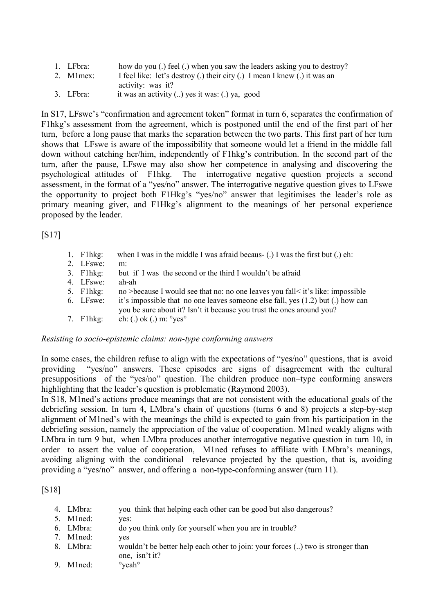| 1. LFbra: | how do you (.) feel (.) when you saw the leaders asking you to destroy?   |
|-----------|---------------------------------------------------------------------------|
| 2. Mlmex: | I feel like: let's destroy (.) their city (.) I mean I knew (.) it was an |
|           | activity: was it?                                                         |
| 3. LFbra: | it was an activity $(.)$ yes it was: $(.)$ ya, good                       |

In S17, LFswe's "confirmation and agreement token" format in turn 6, separates the confirmation of F1hkg's assessment from the agreement, which is postponed until the end of the first part of her turn, before a long pause that marks the separation between the two parts. This first part of her turn shows that LFswe is aware of the impossibility that someone would let a friend in the middle fall down without catching her/him, independently of F1hkg's contribution. In the second part of the turn, after the pause, LFswe may also show her competence in analysing and discovering the psychological attitudes of F1hkg. The interrogative negative question projects a second assessment, in the format of a "yes/no" answer. The interrogative negative question gives to LFswe the opportunity to project both F1Hkg's "yes/no" answer that legitimises the leader's role as primary meaning giver, and F1Hkg's alignment to the meanings of her personal experience proposed by the leader.

[S17]

- 1. F1hkg: when I was in the middle I was afraid becaus- (.) I was the first but (.) eh:
- 2. LFswe: m:
- 3. F1hkg: but if I was the second or the third I wouldn't be afraid
- 4. LFswe: ah-ah
- 5. F1hkg: no >because I would see that no: no one leaves you fall  $\lt i$ 's like: impossible
- 6. LFswe: it's impossible that no one leaves someone else fall, yes (1.2) but (.) how can
- you be sure about it? Isn't it because you trust the ones around you?
- 7. F1hkg: eh: (.) ok (.) m:  $\degree$  ves $\degree$

*Resisting to socio-epistemic claims: non-type conforming answers*

In some cases, the children refuse to align with the expectations of "yes/no" questions, that is avoid providing "yes/no" answers. These episodes are signs of disagreement with the cultural presuppositions of the "yes/no" question. The children produce non–type conforming answers highlighting that the leader's question is problematic (Raymond 2003).

In S18, M1ned's actions produce meanings that are not consistent with the educational goals of the debriefing session. In turn 4, LMbra's chain of questions (turns 6 and 8) projects a step-by-step alignment of M1ned's with the meanings the child is expected to gain from his participation in the debriefing session, namely the appreciation of the value of cooperation. M1ned weakly aligns with LMbra in turn 9 but, when LMbra produces another interrogative negative question in turn 10, in order to assert the value of cooperation, M1ned refuses to affiliate with LMbra's meanings, avoiding aligning with the conditional relevance projected by the question, that is, avoiding providing a "yes/no" answer, and offering a non-type-conforming answer (turn 11).

[S18]

| 4. LMbra: | you think that helping each other can be good but also dangerous? |
|-----------|-------------------------------------------------------------------|
| 5. Mlned: | ves:                                                              |

- 6. LMbra: do you think only for yourself when you are in trouble?
- 7. M1ned: yes
- 8. LMbra: wouldn't be better help each other to join: your forces (..) two is stronger than one, isn't it?
- 9. M1ned: <sup>o</sup>veah<sup>o</sup>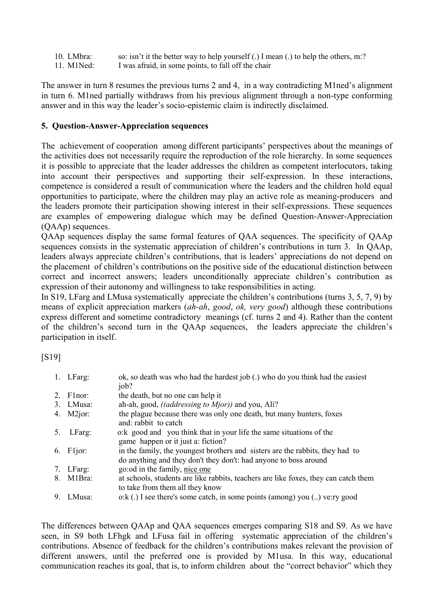10. LMbra: so: isn't it the better way to help yourself (.) I mean (.) to help the others, m:?

11. M1Ned: I was afraid, in some points, to fall off the chair

The answer in turn 8 resumes the previous turns 2 and 4, in a way contradicting M1ned's alignment in turn 6. M1ned partially withdraws from his previous alignment through a non-type conforming answer and in this way the leader's socio-epistemic claim is indirectly disclaimed.

## **5. Question-Answer-Appreciation sequences**

The achievement of cooperation among different participants' perspectives about the meanings of the activities does not necessarily require the reproduction of the role hierarchy. In some sequences it is possible to appreciate that the leader addresses the children as competent interlocutors, taking into account their perspectives and supporting their self-expression. In these interactions, competence is considered a result of communication where the leaders and the children hold equal opportunities to participate, where the children may play an active role as meaning-producers and the leaders promote their participation showing interest in their self-expressions. These sequences are examples of empowering dialogue which may be defined Question-Answer-Appreciation (QAAp) sequences.

QAAp sequences display the same formal features of QAA sequences. The specificity of QAAp sequences consists in the systematic appreciation of children's contributions in turn 3. In QAAp, leaders always appreciate children's contributions, that is leaders' appreciations do not depend on the placement of children's contributions on the positive side of the educational distinction between correct and incorrect answers; leaders unconditionally appreciate children's contribution as expression of their autonomy and willingness to take responsibilities in acting.

In S19, LFarg and LMusa systematically appreciate the children's contributions (turns 3, 5, 7, 9) by means of explicit appreciation markers (*ah-ah*, *good*, *ok, very good*) although these contributions express different and sometime contradictory meanings (cf. turns 2 and 4). Rather than the content of the children's second turn in the QAAp sequences, the leaders appreciate the children's participation in itself.

[S19]

|    | 1. LFarg:              | ok, so death was who had the hardest job (.) who do you think had the easiest<br>job?                                                             |
|----|------------------------|---------------------------------------------------------------------------------------------------------------------------------------------------|
|    | 2. Flnor:              | the death, but no one can help it                                                                                                                 |
|    | 3. LMusa:              | ah-ah, good, <i>((addressing to Mjor))</i> and you, Ali?                                                                                          |
|    | 4. M <sub>2</sub> jor: | the plague because there was only one death, but many hunters, foxes<br>and: rabbit to catch                                                      |
| 5. | LFarg:                 | o:k good and you think that in your life the same situations of the<br>game happen or it just a: fiction?                                         |
|    | 6. $F1j$               | in the family, the youngest brothers and sisters are the rabbits, they had to<br>do anything and they don't they don't: had anyone to boss around |
|    | 7. LFarg:              | go: od in the family, nice one                                                                                                                    |
|    | 8. M1Bra:              | at schools, students are like rabbits, teachers are like foxes, they can catch them<br>to take from them all they know                            |
|    | 9. LMusa:              | o:k (.) I see there's some catch, in some points (among) you () ve:ry good                                                                        |

The differences between QAAp and QAA sequences emerges comparing S18 and S9. As we have seen, in S9 both LFhgk and LFusa fail in offering systematic appreciation of the children's contributions. Absence of feedback for the children's contributions makes relevant the provision of different answers, until the preferred one is provided by M1usa. In this way, educational communication reaches its goal, that is, to inform children about the "correct behavior" which they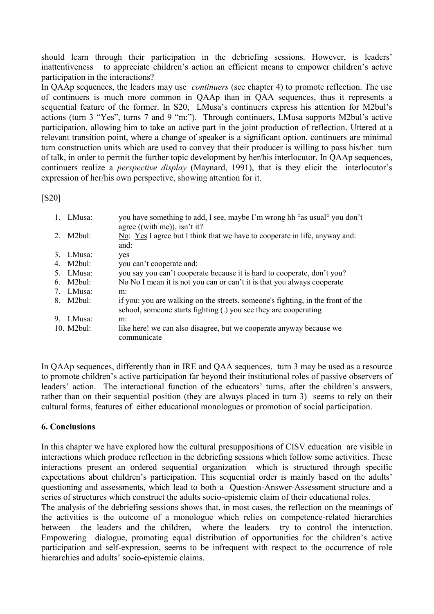should learn through their participation in the debriefing sessions. However, is leaders' inattentiveness to appreciate children's action an efficient means to empower children's active participation in the interactions?

In QAAp sequences, the leaders may use *continuers* (see chapter 4) to promote reflection. The use of continuers is much more common in QAAp than in QAA sequences, thus it represents a sequential feature of the former. In S20, LMusa's continuers express his attention for M2bul's actions (turn 3 "Yes", turns 7 and 9 "m:"). Through continuers, LMusa supports M2bul's active participation, allowing him to take an active part in the joint production of reflection. Uttered at a relevant transition point, where a change of speaker is a significant option, continuers are minimal turn construction units which are used to convey that their producer is willing to pass his/her turn of talk, in order to permit the further topic development by her/his interlocutor. In QAAp sequences, continuers realize a *perspective display* (Maynard, 1991), that is they elicit the interlocutor's expression of her/his own perspective, showing attention for it.

[S20]

| 1. LMusa:  | you have something to add, I see, maybe I'm wrong hh ° as usual vou don't<br>agree ((with me)), isn't it?                                           |
|------------|-----------------------------------------------------------------------------------------------------------------------------------------------------|
| 2. M2bul:  | No: Yes I agree but I think that we have to cooperate in life, anyway and:<br>and:                                                                  |
| 3. LMusa:  | yes                                                                                                                                                 |
| 4. M2bul:  | you can't cooperate and:                                                                                                                            |
| 5. LMusa:  | you say you can't cooperate because it is hard to cooperate, don't you?                                                                             |
| 6. M2bul:  | $\underline{No} \overline{No}$ I mean it is not you can or can't it is that you always cooperate                                                    |
| 7. LMusa:  | m:                                                                                                                                                  |
| 8. M2bul:  | if you: you are walking on the streets, someone's fighting, in the front of the<br>school, someone starts fighting (.) you see they are cooperating |
| 9. LMusa:  | $m$ :                                                                                                                                               |
| 10. M2bul: | like here! we can also disagree, but we cooperate anyway because we<br>communicate                                                                  |

In QAAp sequences, differently than in IRE and QAA sequences, turn 3 may be used as a resource to promote children's active participation far beyond their institutional roles of passive observers of leaders' action. The interactional function of the educators' turns, after the children's answers, rather than on their sequential position (they are always placed in turn 3) seems to rely on their cultural forms, features of either educational monologues or promotion of social participation.

### **6. Conclusions**

In this chapter we have explored how the cultural presuppositions of CISV education are visible in interactions which produce reflection in the debriefing sessions which follow some activities. These interactions present an ordered sequential organization which is structured through specific expectations about children's participation. This sequential order is mainly based on the adults' questioning and assessments, which lead to both a Question-Answer-Assessment structure and a series of structures which construct the adults socio-epistemic claim of their educational roles.

The analysis of the debriefing sessions shows that, in most cases, the reflection on the meanings of the activities is the outcome of a monologue which relies on competence-related hierarchies between the leaders and the children, where the leaders try to control the interaction. Empowering dialogue, promoting equal distribution of opportunities for the children's active participation and self-expression, seems to be infrequent with respect to the occurrence of role hierarchies and adults' socio-epistemic claims.